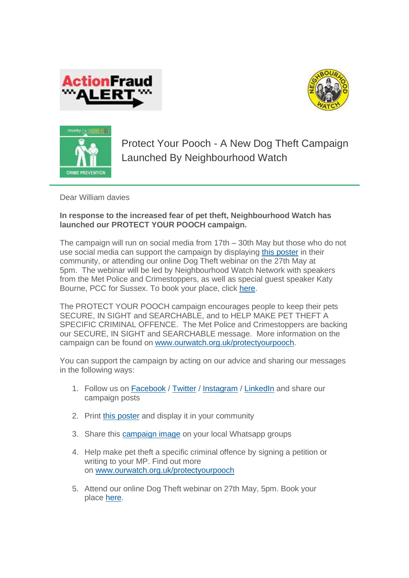





Protect Your Pooch - A New Dog Theft Campaign Launched By Neighbourhood Watch

Dear William davies

## **In response to the increased fear of pet theft, Neighbourhood Watch has launched our PROTECT YOUR POOCH campaign.**

The campaign will run on social media from 17th – 30th May but those who do not use social media can support the campaign by displaying [this poster](https://www.ourwatch.org.uk/sites/default/files/documents/2021-05/Protect%20your%20pooch%20poster.png) in their community, or attending our online Dog Theft webinar on the 27th May at 5pm. The webinar will be led by Neighbourhood Watch Network with speakers from the Met Police and Crimestoppers, as well as special guest speaker Katy Bourne, PCC for Sussex. To book your place, click [here.](https://www.ourwatch.org.uk/webinars)

The PROTECT YOUR POOCH campaign encourages people to keep their pets SECURE, IN SIGHT and SEARCHABLE, and to HELP MAKE PET THEFT A SPECIFIC CRIMINAL OFFENCE. The Met Police and Crimestoppers are backing our SECURE, IN SIGHT and SEARCHABLE message. More information on the campaign can be found on [www.ourwatch.org.uk/protectyourpooch.](https://www.ourwatch.org.uk/protectyourpooch)

You can support the campaign by acting on our advice and sharing our messages in the following ways:

- 1. Follow us on **[Facebook](http://www.facebook.com/ourwatch)** / [Twitter](https://twitter.com/N_watch) / [Instagram](https://www.instagram.com/neighbourhood.watch.insta/) / [LinkedIn](https://www.linkedin.com/company/neighbourhood-watch/) and share our campaign posts
- 2. Print [this poster](https://www.ourwatch.org.uk/sites/default/files/documents/2021-05/Protect%20your%20pooch%20poster.png) and display it in your community
- 3. Share this [campaign image](https://www.ourwatch.org.uk/sites/default/files/images/2021-05/Protect-your-pooch-2_0.jpg) on your local Whatsapp groups
- 4. Help make pet theft a specific criminal offence by signing a petition or writing to your MP. Find out more on [www.ourwatch.org.uk/protectyourpooch](https://www.ourwatch.org.uk/protectyourpooch)
- 5. Attend our online Dog Theft webinar on 27th May, 5pm. Book your place [here.](https://www.ourwatch.org.uk/webinars)